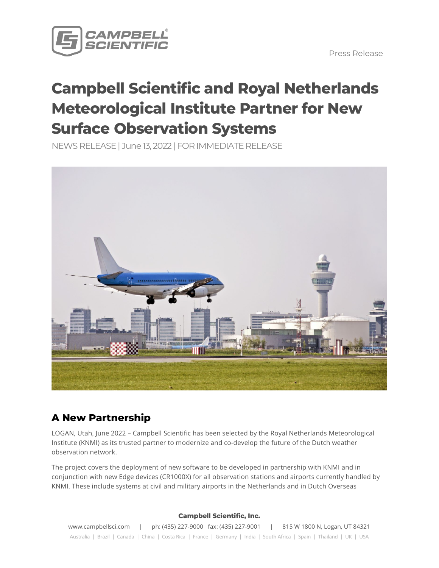

Press Release

# **Campbell Scientific and Royal Netherlands Meteorological Institute Partner for New Surface Observation Systems**

NEWS RELEASE | June13, 2022 | FOR IMMEDIATE RELEASE



## **A New Partnership**

LOGAN, Utah, June 2022 – Campbell Scientific has been selected by the Royal Netherlands Meteorological Institute (KNMI) as its trusted partner to modernize and co-develop the future of the Dutch weather observation network.

The project covers the deployment of new software to be developed in partnership with KNMI and in conjunction with new Edge devices (CR1000X) for all observation stations and airports currently handled by KNMI. These include systems at civil and military airports in the Netherlands and in Dutch Overseas

#### **Campbell Scientific, Inc.**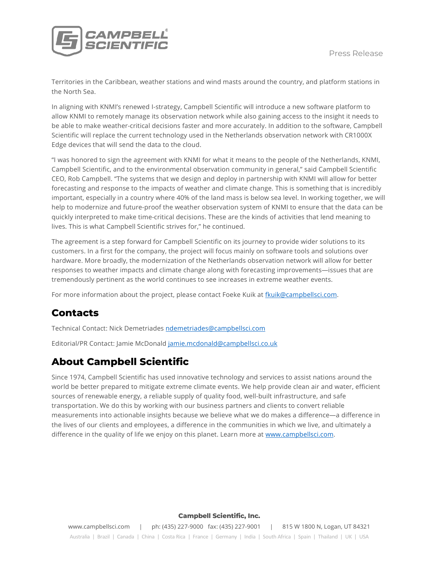

Territories in the Caribbean, weather stations and wind masts around the country, and platform stations in the North Sea.

In aligning with KNMI's renewed I-strategy, Campbell Scientific will introduce a new software platform to allow KNMI to remotely manage its observation network while also gaining access to the insight it needs to be able to make weather-critical decisions faster and more accurately. In addition to the software, Campbell Scientific will replace the current technology used in the Netherlands observation network with CR1000X Edge devices that will send the data to the cloud.

"I was honored to sign the agreement with KNMI for what it means to the people of the Netherlands, KNMI, Campbell Scientific, and to the environmental observation community in general," said Campbell Scientific CEO, Rob Campbell. "The systems that we design and deploy in partnership with KNMI will allow for better forecasting and response to the impacts of weather and climate change. This is something that is incredibly important, especially in a country where 40% of the land mass is below sea level. In working together, we will help to modernize and future-proof the weather observation system of KNMI to ensure that the data can be quickly interpreted to make time-critical decisions. These are the kinds of activities that lend meaning to lives. This is what Campbell Scientific strives for," he continued.

The agreement is a step forward for Campbell Scientific on its journey to provide wider solutions to its customers. In a first for the company, the project will focus mainly on software tools and solutions over hardware. More broadly, the modernization of the Netherlands observation network will allow for better responses to weather impacts and climate change along with forecasting improvements—issues that are tremendously pertinent as the world continues to see increases in extreme weather events.

For more information about the project, please contact Foeke Kuik at [fkuik@campbellsci.com.](mailto:fkuik@campbellsci.com)

## **Contacts**

Technical Contact: Nick Demetriades [ndemetriades@campbellsci.com](mailto:ndemetriades@campbellsci.com) 

Editorial/PR Contact: Jamie McDonal[d jamie.mcdonald@campbellsci.co.uk](mailto:jamie.mcdonald@campbellsci.co.uk) 

## **About Campbell Scientific**

Since 1974, Campbell Scientific has used innovative technology and services to assist nations around the world be better prepared to mitigate extreme climate events. We help provide clean air and water, efficient sources of renewable energy, a reliable supply of quality food, well-built infrastructure, and safe transportation. We do this by working with our business partners and clients to convert reliable measurements into actionable insights because we believe what we do makes a difference—a difference in the lives of our clients and employees, a difference in the communities in which we live, and ultimately a difference in the quality of life we enjoy on this planet. Learn more at [www.campbellsci.com.](http://www.campbellsci.com/)

#### **Campbell Scientific, Inc.**